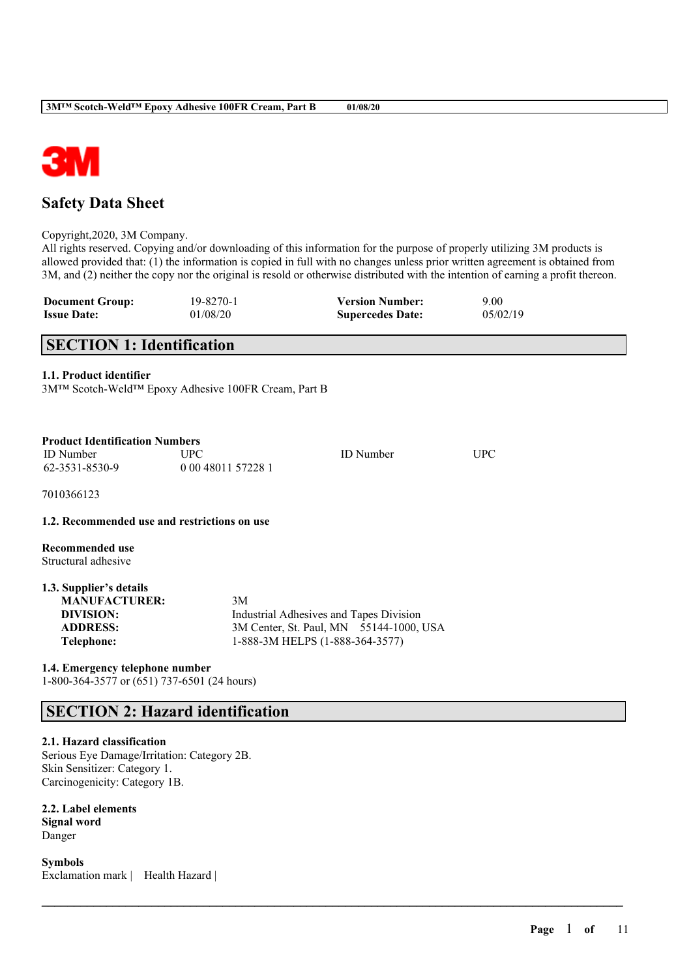

# **Safety Data Sheet**

Copyright,2020, 3M Company.

All rights reserved. Copying and/or downloading of this information for the purpose of properly utilizing 3M products is allowed provided that: (1) the information is copied in full with no changes unless prior written agreement is obtained from 3M, and (2) neither the copy nor the original is resold or otherwise distributed with the intention of earning a profit thereon.

 $\mathcal{L}_\mathcal{L} = \mathcal{L}_\mathcal{L} = \mathcal{L}_\mathcal{L} = \mathcal{L}_\mathcal{L} = \mathcal{L}_\mathcal{L} = \mathcal{L}_\mathcal{L} = \mathcal{L}_\mathcal{L} = \mathcal{L}_\mathcal{L} = \mathcal{L}_\mathcal{L} = \mathcal{L}_\mathcal{L} = \mathcal{L}_\mathcal{L} = \mathcal{L}_\mathcal{L} = \mathcal{L}_\mathcal{L} = \mathcal{L}_\mathcal{L} = \mathcal{L}_\mathcal{L} = \mathcal{L}_\mathcal{L} = \mathcal{L}_\mathcal{L}$ 

| <b>Document Group:</b> | 19-8270-1 | <b>Version Number:</b>  | 9.00     |
|------------------------|-----------|-------------------------|----------|
| <b>Issue Date:</b>     | 01/08/20  | <b>Supercedes Date:</b> | 05/02/19 |

# **SECTION 1: Identification**

#### **1.1. Product identifier**

3M™ Scotch-Weld™ Epoxy Adhesive 100FR Cream, Part B

| <b>Product Identification Numbers</b> |                    |                  |     |
|---------------------------------------|--------------------|------------------|-----|
| <b>ID</b> Number                      | <b>UPC</b>         | <b>ID</b> Number | UPC |
| 62-3531-8530-9                        | 0 00 48011 57228 1 |                  |     |

7010366123

#### **1.2. Recommended use and restrictions on use**

**Recommended use** Structural adhesive

| 1.3. Supplier's details |                                         |
|-------------------------|-----------------------------------------|
| <b>MANUFACTURER:</b>    | 3M                                      |
| DIVISION:               | Industrial Adhesives and Tapes Division |
| <b>ADDRESS:</b>         | 3M Center, St. Paul, MN 55144-1000, USA |
| Telephone:              | 1-888-3M HELPS (1-888-364-3577)         |

**1.4. Emergency telephone number**

1-800-364-3577 or (651) 737-6501 (24 hours)

# **SECTION 2: Hazard identification**

#### **2.1. Hazard classification**

Serious Eye Damage/Irritation: Category 2B. Skin Sensitizer: Category 1. Carcinogenicity: Category 1B.

**2.2. Label elements Signal word** Danger

**Symbols** Exclamation mark | Health Hazard |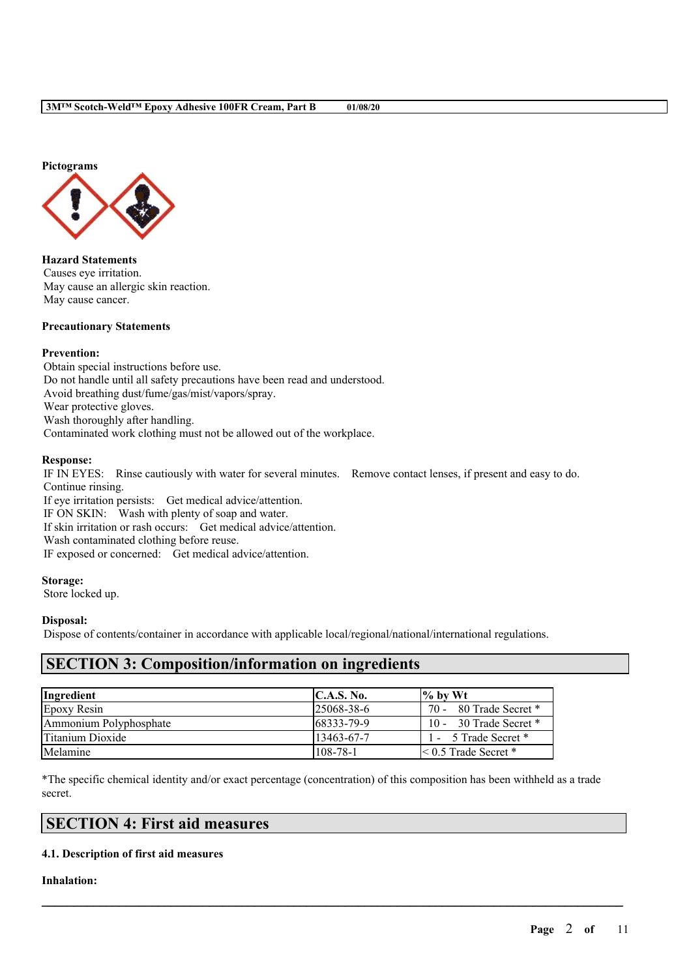

**Hazard Statements** Causes eye irritation. May cause an allergic skin reaction. May cause cancer.

#### **Precautionary Statements**

#### **Prevention:**

Obtain special instructions before use. Do not handle until all safety precautions have been read and understood. Avoid breathing dust/fume/gas/mist/vapors/spray. Wear protective gloves. Wash thoroughly after handling. Contaminated work clothing must not be allowed out of the workplace.

#### **Response:**

IF IN EYES: Rinse cautiously with water for several minutes. Remove contact lenses, if present and easy to do. Continue rinsing.

If eye irritation persists: Get medical advice/attention. IF ON SKIN: Wash with plenty of soap and water. If skin irritation or rash occurs: Get medical advice/attention. Wash contaminated clothing before reuse. IF exposed or concerned: Get medical advice/attention.

## **Storage:**

Store locked up.

#### **Disposal:**

Dispose of contents/container in accordance with applicable local/regional/national/international regulations.

# **SECTION 3: Composition/information on ingredients**

| Ingredient             | C.A.S. No.        | $\frac{9}{6}$ by Wt         |
|------------------------|-------------------|-----------------------------|
| Epoxy Resin            | $125068 - 38 - 6$ | 70 - 80 Trade Secret *      |
| Ammonium Polyphosphate | 68333-79-9        | 10 - 30 Trade Secret $*$    |
| Titanium Dioxide       | 13463-67-7        | 1 - 5 Trade Secret *        |
| Melamine               | $108 - 78 - 1$    | $\leq 0.5$ Trade Secret $*$ |

\*The specific chemical identity and/or exact percentage (concentration) of this composition has been withheld as a trade secret.

 $\mathcal{L}_\mathcal{L} = \mathcal{L}_\mathcal{L} = \mathcal{L}_\mathcal{L} = \mathcal{L}_\mathcal{L} = \mathcal{L}_\mathcal{L} = \mathcal{L}_\mathcal{L} = \mathcal{L}_\mathcal{L} = \mathcal{L}_\mathcal{L} = \mathcal{L}_\mathcal{L} = \mathcal{L}_\mathcal{L} = \mathcal{L}_\mathcal{L} = \mathcal{L}_\mathcal{L} = \mathcal{L}_\mathcal{L} = \mathcal{L}_\mathcal{L} = \mathcal{L}_\mathcal{L} = \mathcal{L}_\mathcal{L} = \mathcal{L}_\mathcal{L}$ 

# **SECTION 4: First aid measures**

#### **4.1. Description of first aid measures**

#### **Inhalation:**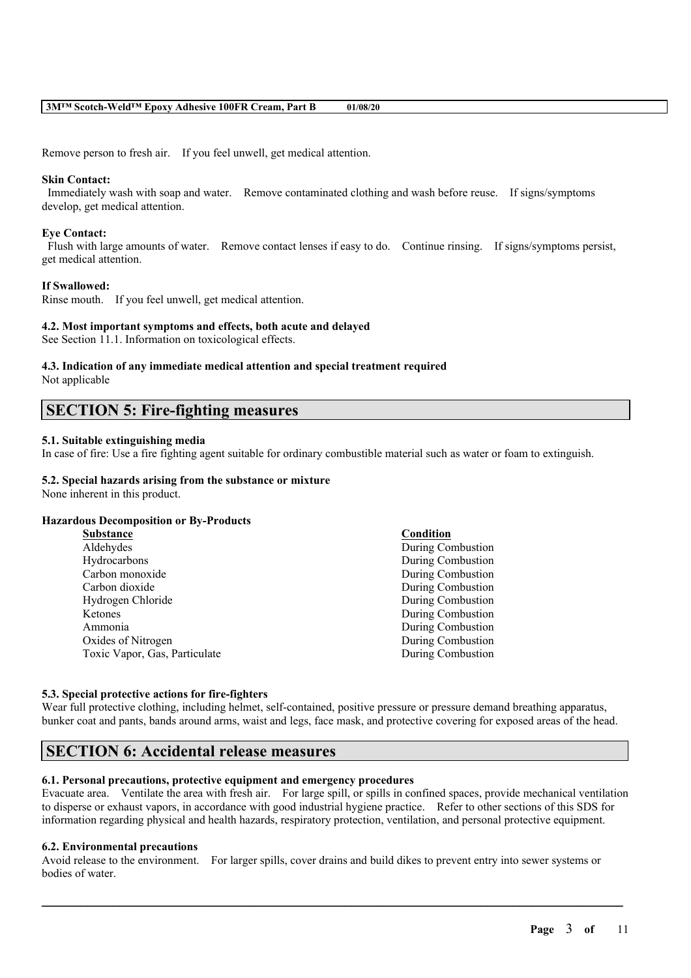Remove person to fresh air. If you feel unwell, get medical attention.

#### **Skin Contact:**

Immediately wash with soap and water. Remove contaminated clothing and wash before reuse. If signs/symptoms develop, get medical attention.

#### **Eye Contact:**

Flush with large amounts of water. Remove contact lenses if easy to do. Continue rinsing. If signs/symptoms persist, get medical attention.

#### **If Swallowed:**

Rinse mouth. If you feel unwell, get medical attention.

#### **4.2. Most important symptoms and effects, both acute and delayed**

See Section 11.1. Information on toxicological effects.

# **4.3. Indication of any immediate medical attention and special treatment required**

Not applicable

# **SECTION 5: Fire-fighting measures**

### **5.1. Suitable extinguishing media**

In case of fire: Use a fire fighting agent suitable for ordinary combustible material such as water or foam to extinguish.

### **5.2. Special hazards arising from the substance or mixture**

None inherent in this product.

#### **Hazardous Decomposition or By-Products**

| <b>Substance</b>              | Condition                |
|-------------------------------|--------------------------|
| Aldehydes                     | During Combustion        |
| Hydrocarbons                  | During Combustion        |
| Carbon monoxide               | <b>During Combustion</b> |
| Carbon dioxide                | During Combustion        |
| Hydrogen Chloride             | During Combustion        |
| Ketones                       | <b>During Combustion</b> |
| Ammonia                       | During Combustion        |
| Oxides of Nitrogen            | During Combustion        |
| Toxic Vapor, Gas, Particulate | <b>During Combustion</b> |

#### **5.3. Special protective actions for fire-fighters**

Wear full protective clothing, including helmet, self-contained, positive pressure or pressure demand breathing apparatus, bunker coat and pants, bands around arms, waist and legs, face mask, and protective covering for exposed areas of the head.

# **SECTION 6: Accidental release measures**

#### **6.1. Personal precautions, protective equipment and emergency procedures**

Evacuate area. Ventilate the area with fresh air. For large spill, or spills in confined spaces, provide mechanical ventilation to disperse or exhaust vapors, in accordance with good industrial hygiene practice. Refer to other sections of this SDS for information regarding physical and health hazards, respiratory protection, ventilation, and personal protective equipment.

#### **6.2. Environmental precautions**

Avoid release to the environment. For larger spills, cover drains and build dikes to prevent entry into sewer systems or bodies of water.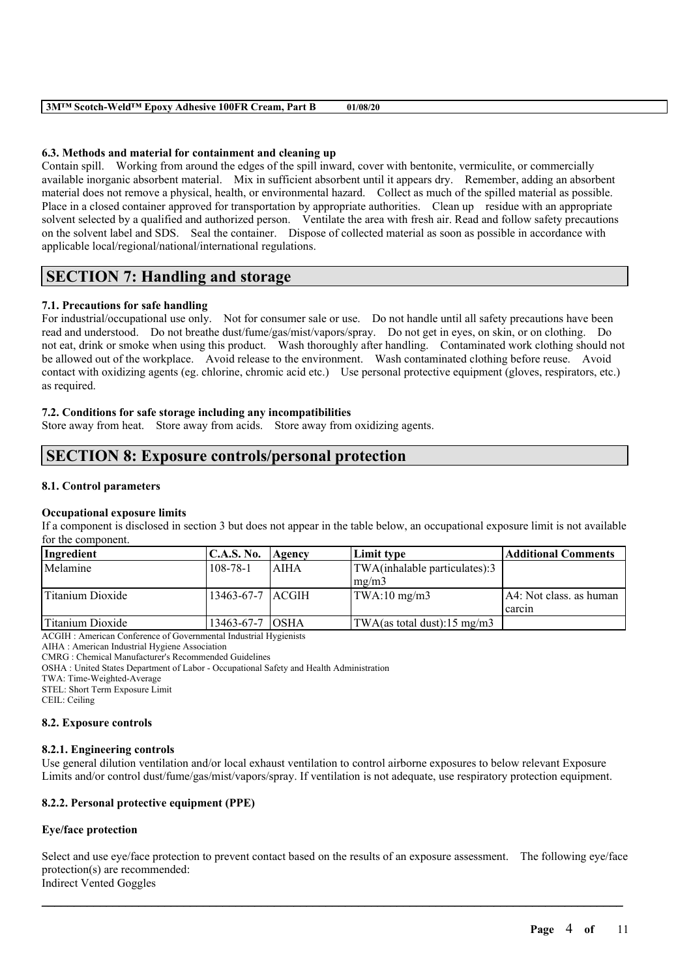| <b>3MTM Scotch-WeldTM Epoxy Adhesive 100FR Cream, Part B</b> | 01/08/20 |
|--------------------------------------------------------------|----------|
|--------------------------------------------------------------|----------|

### **6.3. Methods and material for containment and cleaning up**

Contain spill. Working from around the edges of the spill inward, cover with bentonite, vermiculite, or commercially available inorganic absorbent material. Mix in sufficient absorbent until it appears dry. Remember, adding an absorbent material does not remove a physical, health, or environmental hazard. Collect as much of the spilled material as possible. Place in a closed container approved for transportation by appropriate authorities. Clean up residue with an appropriate solvent selected by a qualified and authorized person. Ventilate the area with fresh air. Read and follow safety precautions on the solvent label and SDS. Seal the container. Dispose of collected material as soon as possible in accordance with applicable local/regional/national/international regulations.

# **SECTION 7: Handling and storage**

## **7.1. Precautions for safe handling**

For industrial/occupational use only. Not for consumer sale or use. Do not handle until all safety precautions have been read and understood. Do not breathe dust/fume/gas/mist/vapors/spray. Do not get in eyes, on skin, or on clothing. Do not eat, drink or smoke when using this product. Wash thoroughly after handling. Contaminated work clothing should not be allowed out of the workplace. Avoid release to the environment. Wash contaminated clothing before reuse. Avoid contact with oxidizing agents (eg. chlorine, chromic acid etc.) Use personal protective equipment (gloves, respirators, etc.) as required.

### **7.2. Conditions for safe storage including any incompatibilities**

Store away from heat. Store away from acids. Store away from oxidizing agents.

# **SECTION 8: Exposure controls/personal protection**

## **8.1. Control parameters**

### **Occupational exposure limits**

If a component is disclosed in section 3 but does not appear in the table below, an occupational exposure limit is not available for the component.

| Ingredient       | <b>C.A.S. No.</b> | Agency      | Limit type                    | Additional Comments     |
|------------------|-------------------|-------------|-------------------------------|-------------------------|
| Melamine         | $108 - 78 - 1$    | <b>AIHA</b> | TWA(inhalable particulates):3 |                         |
|                  |                   |             | $\text{Im} \Omega / \text{m}$ |                         |
| Titanium Dioxide | 13463-67-7 LACGIH |             | $\text{TWA}:10 \text{ mg/m3}$ | A4: Not class. as human |
|                  |                   |             |                               | carcin                  |
| Titanium Dioxide | 13463-67-7 OSHA   |             | TWA(as total dust):15 mg/m3   |                         |

ACGIH : American Conference of Governmental Industrial Hygienists

AIHA : American Industrial Hygiene Association

CMRG : Chemical Manufacturer's Recommended Guidelines

OSHA : United States Department of Labor - Occupational Safety and Health Administration

TWA: Time-Weighted-Average

STEL: Short Term Exposure Limit

CEIL: Ceiling

### **8.2. Exposure controls**

### **8.2.1. Engineering controls**

Use general dilution ventilation and/or local exhaust ventilation to control airborne exposures to below relevant Exposure Limits and/or control dust/fume/gas/mist/vapors/spray. If ventilation is not adequate, use respiratory protection equipment.

### **8.2.2. Personal protective equipment (PPE)**

### **Eye/face protection**

Select and use eye/face protection to prevent contact based on the results of an exposure assessment. The following eye/face protection(s) are recommended: Indirect Vented Goggles

 $\mathcal{L}_\mathcal{L} = \mathcal{L}_\mathcal{L} = \mathcal{L}_\mathcal{L} = \mathcal{L}_\mathcal{L} = \mathcal{L}_\mathcal{L} = \mathcal{L}_\mathcal{L} = \mathcal{L}_\mathcal{L} = \mathcal{L}_\mathcal{L} = \mathcal{L}_\mathcal{L} = \mathcal{L}_\mathcal{L} = \mathcal{L}_\mathcal{L} = \mathcal{L}_\mathcal{L} = \mathcal{L}_\mathcal{L} = \mathcal{L}_\mathcal{L} = \mathcal{L}_\mathcal{L} = \mathcal{L}_\mathcal{L} = \mathcal{L}_\mathcal{L}$ 

**Page** 4 **of** 11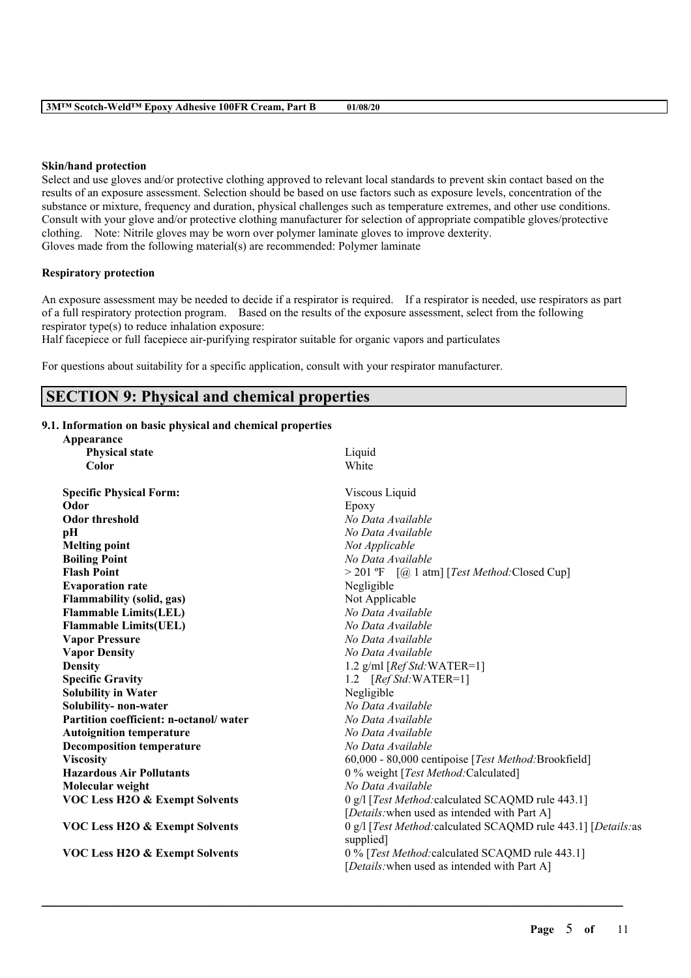#### **Skin/hand protection**

Select and use gloves and/or protective clothing approved to relevant local standards to prevent skin contact based on the results of an exposure assessment. Selection should be based on use factors such as exposure levels, concentration of the substance or mixture, frequency and duration, physical challenges such as temperature extremes, and other use conditions. Consult with your glove and/or protective clothing manufacturer for selection of appropriate compatible gloves/protective clothing. Note: Nitrile gloves may be worn over polymer laminate gloves to improve dexterity. Gloves made from the following material(s) are recommended: Polymer laminate

### **Respiratory protection**

An exposure assessment may be needed to decide if a respirator is required. If a respirator is needed, use respirators as part of a full respiratory protection program. Based on the results of the exposure assessment, select from the following respirator type(s) to reduce inhalation exposure:

Half facepiece or full facepiece air-purifying respirator suitable for organic vapors and particulates

For questions about suitability for a specific application, consult with your respirator manufacturer.

# **SECTION 9: Physical and chemical properties**

## **9.1. Information on basic physical and chemical properties**

| Appearance                                |                                                                |  |  |
|-------------------------------------------|----------------------------------------------------------------|--|--|
| <b>Physical state</b>                     | Liquid                                                         |  |  |
| Color                                     | White                                                          |  |  |
| <b>Specific Physical Form:</b>            | Viscous Liquid                                                 |  |  |
| Odor                                      | Epoxy                                                          |  |  |
| <b>Odor threshold</b>                     | No Data Available                                              |  |  |
| pН                                        | No Data Available                                              |  |  |
| <b>Melting point</b>                      | Not Applicable                                                 |  |  |
| <b>Boiling Point</b>                      | No Data Available                                              |  |  |
| <b>Flash Point</b>                        | > 201 °F [@ 1 atm] [Test Method: Closed Cup]                   |  |  |
| <b>Evaporation rate</b>                   | Negligible                                                     |  |  |
| <b>Flammability (solid, gas)</b>          | Not Applicable                                                 |  |  |
| <b>Flammable Limits(LEL)</b>              | No Data Available                                              |  |  |
| <b>Flammable Limits(UEL)</b>              | No Data Available                                              |  |  |
| <b>Vapor Pressure</b>                     | No Data Available                                              |  |  |
| <b>Vapor Density</b>                      | No Data Available                                              |  |  |
| <b>Density</b>                            | 1.2 g/ml $[RefStd:WATER=1]$                                    |  |  |
| <b>Specific Gravity</b>                   | 1.2 $[RefStd:WATER=1]$                                         |  |  |
| <b>Solubility in Water</b>                | Negligible                                                     |  |  |
| Solubility- non-water                     | No Data Available                                              |  |  |
| Partition coefficient: n-octanol/water    | No Data Available                                              |  |  |
| <b>Autoignition temperature</b>           | No Data Available                                              |  |  |
| <b>Decomposition temperature</b>          | No Data Available                                              |  |  |
| <b>Viscosity</b>                          | 60,000 - 80,000 centipoise [Test Method: Brookfield]           |  |  |
| <b>Hazardous Air Pollutants</b>           | 0 % weight [Test Method: Calculated]                           |  |  |
| Molecular weight                          | No Data Available                                              |  |  |
| <b>VOC Less H2O &amp; Exempt Solvents</b> | 0 g/l [Test Method: calculated SCAQMD rule 443.1]              |  |  |
|                                           | [Details: when used as intended with Part A]                   |  |  |
| <b>VOC Less H2O &amp; Exempt Solvents</b> | 0 g/l [Test Method: calculated SCAQMD rule 443.1] [Details: as |  |  |
|                                           | supplied]                                                      |  |  |
| <b>VOC Less H2O &amp; Exempt Solvents</b> | 0 % [Test Method: calculated SCAQMD rule 443.1]                |  |  |
|                                           | [Details: when used as intended with Part A]                   |  |  |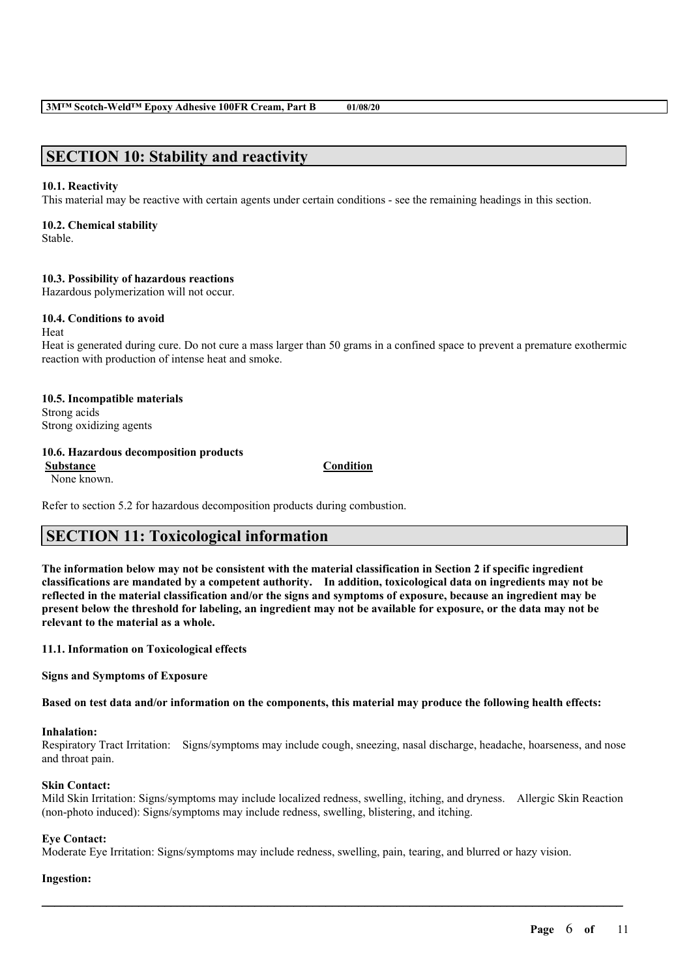# **SECTION 10: Stability and reactivity**

### **10.1. Reactivity**

This material may be reactive with certain agents under certain conditions - see the remaining headings in this section.

### **10.2. Chemical stability**

Stable.

### **10.3. Possibility of hazardous reactions**

Hazardous polymerization will not occur.

### **10.4. Conditions to avoid**

Heat Heat is generated during cure. Do not cure a mass larger than 50 grams in a confined space to prevent a premature exothermic reaction with production of intense heat and smoke.

**10.5. Incompatible materials** Strong acids Strong oxidizing agents

### **10.6. Hazardous decomposition products**

**Substance Condition** None known.

Refer to section 5.2 for hazardous decomposition products during combustion.

# **SECTION 11: Toxicological information**

The information below may not be consistent with the material classification in Section 2 if specific ingredient **classifications are mandated by a competent authority. In addition, toxicological data on ingredients may not be** reflected in the material classification and/or the signs and symptoms of exposure, because an ingredient may be present below the threshold for labeling, an ingredient may not be available for exposure, or the data may not be **relevant to the material as a whole.**

### **11.1. Information on Toxicological effects**

**Signs and Symptoms of Exposure**

Based on test data and/or information on the components, this material may produce the following health effects:

#### **Inhalation:**

Respiratory Tract Irritation: Signs/symptoms may include cough, sneezing, nasal discharge, headache, hoarseness, and nose and throat pain.

### **Skin Contact:**

Mild Skin Irritation: Signs/symptoms may include localized redness, swelling, itching, and dryness. Allergic Skin Reaction (non-photo induced): Signs/symptoms may include redness, swelling, blistering, and itching.

 $\mathcal{L}_\mathcal{L} = \mathcal{L}_\mathcal{L} = \mathcal{L}_\mathcal{L} = \mathcal{L}_\mathcal{L} = \mathcal{L}_\mathcal{L} = \mathcal{L}_\mathcal{L} = \mathcal{L}_\mathcal{L} = \mathcal{L}_\mathcal{L} = \mathcal{L}_\mathcal{L} = \mathcal{L}_\mathcal{L} = \mathcal{L}_\mathcal{L} = \mathcal{L}_\mathcal{L} = \mathcal{L}_\mathcal{L} = \mathcal{L}_\mathcal{L} = \mathcal{L}_\mathcal{L} = \mathcal{L}_\mathcal{L} = \mathcal{L}_\mathcal{L}$ 

### **Eye Contact:**

Moderate Eye Irritation: Signs/symptoms may include redness, swelling, pain, tearing, and blurred or hazy vision.

### **Ingestion:**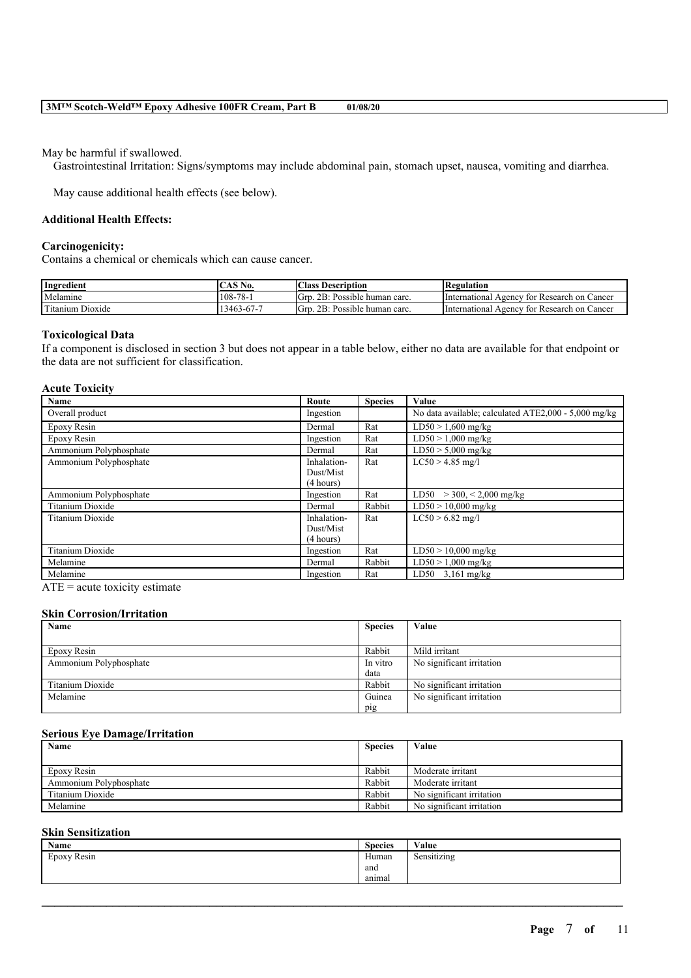May be harmful if swallowed.

Gastrointestinal Irritation: Signs/symptoms may include abdominal pain, stomach upset, nausea, vomiting and diarrhea.

May cause additional health effects (see below).

#### **Additional Health Effects:**

#### **Carcinogenicity:**

Contains a chemical or chemicals which can cause cancer.

| Ingredient                      | $\angle$ AS N<br>N0. | <b>Class</b><br>Description         | Regulation                                                       |
|---------------------------------|----------------------|-------------------------------------|------------------------------------------------------------------|
| Melamine                        | $78-$<br>$108 - 7$   | 2B:<br>lGre<br>Possible human carc. | International $\lambda$<br>tor<br>' Research on Cancer<br>Agency |
| <b>CONT</b><br>Titanium Dioxide | $3463 - 67 - 7$      | 2B:<br>Grr<br>Possible human carc.  | International A<br>tor<br>: Research on Cancer<br>Agency         |

#### **Toxicological Data**

If a component is disclosed in section 3 but does not appear in a table below, either no data are available for that endpoint or the data are not sufficient for classification.

#### **Acute Toxicity**

| Name                    | Route       | <b>Species</b> | Value                                                |
|-------------------------|-------------|----------------|------------------------------------------------------|
| Overall product         | Ingestion   |                | No data available; calculated ATE2,000 - 5,000 mg/kg |
| Epoxy Resin             | Dermal      | Rat            | $LD50 > 1,600$ mg/kg                                 |
| Epoxy Resin             | Ingestion   | Rat            | $LD50 > 1,000$ mg/kg                                 |
| Ammonium Polyphosphate  | Dermal      | Rat            | $LD50 > 5,000$ mg/kg                                 |
| Ammonium Polyphosphate  | Inhalation- | Rat            | $LC50 > 4.85$ mg/l                                   |
|                         | Dust/Mist   |                |                                                      |
|                         | (4 hours)   |                |                                                      |
| Ammonium Polyphosphate  | Ingestion   | Rat            | LD50 $>$ 300, < 2,000 mg/kg                          |
| <b>Titanium Dioxide</b> | Dermal      | Rabbit         | $LD50 > 10,000$ mg/kg                                |
| Titanium Dioxide        | Inhalation- | Rat            | $LC50 > 6.82$ mg/l                                   |
|                         | Dust/Mist   |                |                                                      |
|                         | (4 hours)   |                |                                                      |
| <b>Titanium Dioxide</b> | Ingestion   | Rat            | $LD50 > 10,000$ mg/kg                                |
| Melamine                | Dermal      | Rabbit         | $LD50 > 1,000$ mg/kg                                 |
| Melamine                | Ingestion   | Rat            | LD50 $3,161$ mg/kg                                   |

 $ATE = acute$  toxicity estimate

#### **Skin Corrosion/Irritation**

| Name                   | <b>Species</b> | Value                     |
|------------------------|----------------|---------------------------|
|                        |                |                           |
| Epoxy Resin            | Rabbit         | Mild irritant             |
| Ammonium Polyphosphate | In vitro       | No significant irritation |
|                        | data           |                           |
| Titanium Dioxide       | Rabbit         | No significant irritation |
| Melamine               | Guinea         | No significant irritation |
|                        | pig            |                           |

#### **Serious Eye Damage/Irritation**

| Name                   | <b>Species</b> | Value                     |
|------------------------|----------------|---------------------------|
|                        |                |                           |
| Epoxy Resin            | Rabbit         | Moderate irritant         |
| Ammonium Polyphosphate | Rabbit         | Moderate irritant         |
| Titanium Dioxide       | Rabbit         | No significant irritation |
| Melamine               | Rabbit         | No significant irritation |

### **Skin Sensitization**

| Name        | <b>Species</b> | Value                      |
|-------------|----------------|----------------------------|
| Epoxy Resin | Human          | .<br>$\sim$<br>Sensitizing |
|             | and            |                            |
|             | anımal         |                            |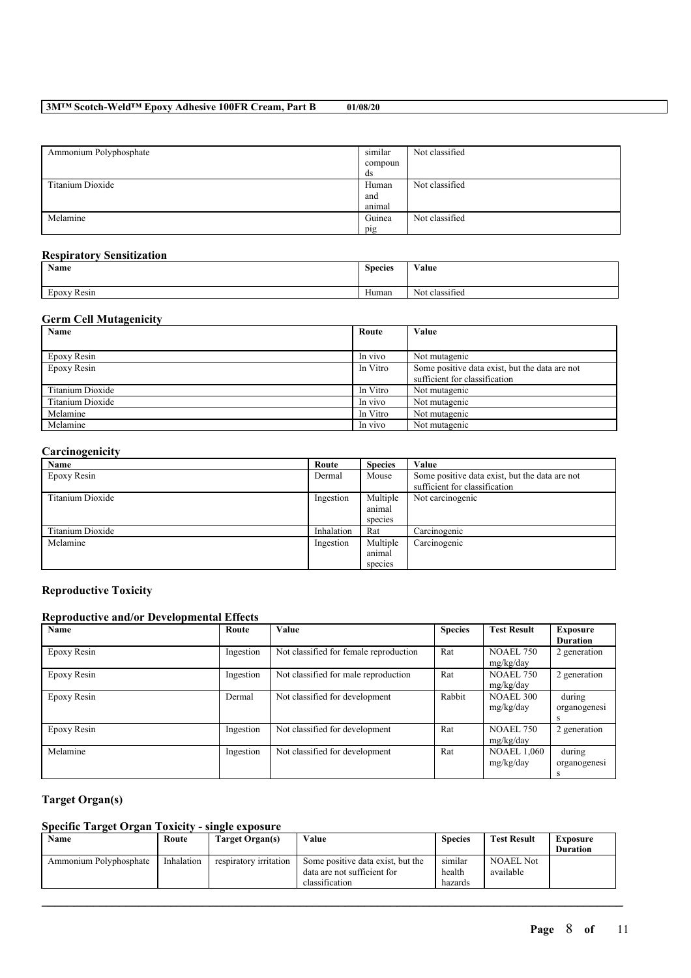| Ammonium Polyphosphate | similar | Not classified |
|------------------------|---------|----------------|
|                        | compoun |                |
|                        | ds      |                |
| Titanium Dioxide       | Human   | Not classified |
|                        | and     |                |
|                        | animal  |                |
| Melamine               | Guinea  | Not classified |
|                        | pig     |                |

### **Respiratory Sensitization**

| Name        | <b>Species</b> | Value          |
|-------------|----------------|----------------|
| $\sim$      | <b>YY</b>      | $\cdot$ $\sim$ |
| Epoxy Resin | Human          | Not classified |

## **Germ Cell Mutagenicity**

| Name             | Route    | Value                                          |
|------------------|----------|------------------------------------------------|
|                  |          |                                                |
| Epoxy Resin      | In vivo  | Not mutagenic                                  |
| Epoxy Resin      | In Vitro | Some positive data exist, but the data are not |
|                  |          | sufficient for classification                  |
| Titanium Dioxide | In Vitro | Not mutagenic                                  |
| Titanium Dioxide | In vivo  | Not mutagenic                                  |
| Melamine         | In Vitro | Not mutagenic                                  |
| Melamine         | In vivo  | Not mutagenic                                  |

# **Carcinogenicity**

| Name             | Route      | <b>Species</b> | Value                                          |
|------------------|------------|----------------|------------------------------------------------|
| Epoxy Resin      | Dermal     | Mouse          | Some positive data exist, but the data are not |
|                  |            |                | sufficient for classification                  |
| Titanium Dioxide | Ingestion  | Multiple       | Not carcinogenic                               |
|                  |            | animal         |                                                |
|                  |            | species        |                                                |
| Titanium Dioxide | Inhalation | Rat            | Carcinogenic                                   |
| Melamine         | Ingestion  | Multiple       | Carcinogenic                                   |
|                  |            | animal         |                                                |
|                  |            | species        |                                                |

## **Reproductive Toxicity**

## **Reproductive and/or Developmental Effects**

| Name        | Route     | <b>Value</b>                           | <b>Species</b> | <b>Test Result</b>              | <b>Exposure</b><br><b>Duration</b> |
|-------------|-----------|----------------------------------------|----------------|---------------------------------|------------------------------------|
| Epoxy Resin | Ingestion | Not classified for female reproduction | Rat            | <b>NOAEL 750</b><br>mg/kg/day   | 2 generation                       |
| Epoxy Resin | Ingestion | Not classified for male reproduction   | Rat            | <b>NOAEL 750</b><br>mg/kg/day   | 2 generation                       |
| Epoxy Resin | Dermal    | Not classified for development         | Rabbit         | <b>NOAEL 300</b><br>mg/kg/day   | during<br>organogenesi<br>s        |
| Epoxy Resin | Ingestion | Not classified for development         | Rat            | <b>NOAEL 750</b><br>mg/kg/day   | 2 generation                       |
| Melamine    | Ingestion | Not classified for development         | Rat            | <b>NOAEL 1,060</b><br>mg/kg/day | during<br>organogenesi<br>s        |

# **Target Organ(s)**

## **Specific Target Organ Toxicity - single exposure**

| Name                   | Route      | Target Organ(s)        | Value                                                                              | <b>Species</b>               | <b>Test Result</b>            | <b>Exposure</b><br><b>Duration</b> |
|------------------------|------------|------------------------|------------------------------------------------------------------------------------|------------------------------|-------------------------------|------------------------------------|
| Ammonium Polyphosphate | Inhalation | respiratory irritation | Some positive data exist, but the<br>data are not sufficient for<br>classification | similar<br>health<br>hazards | <b>NOAEL Not</b><br>available |                                    |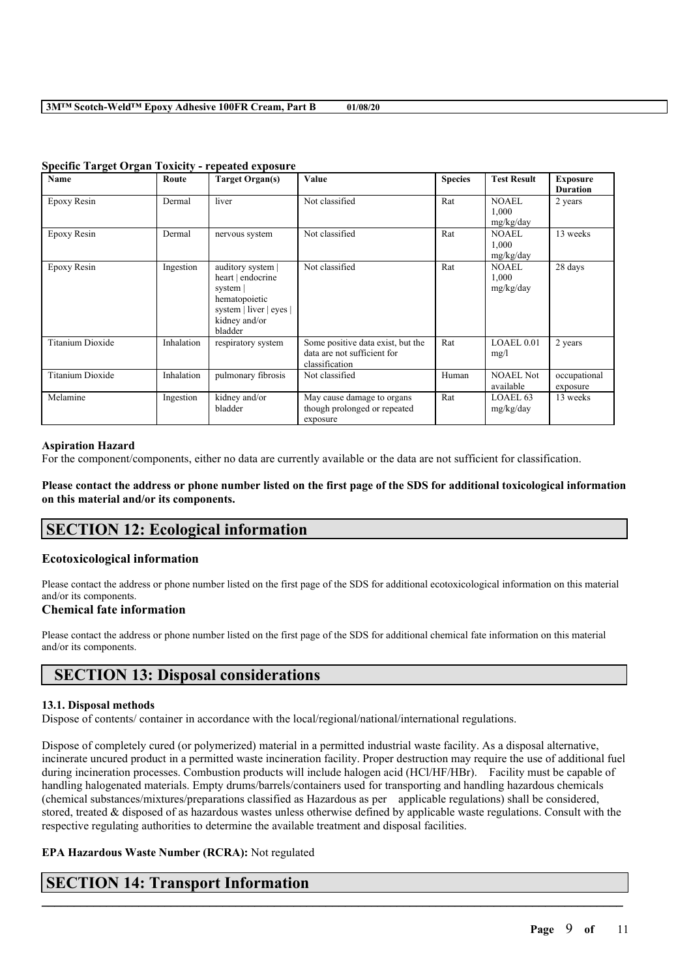| <b>Name</b>             | Route      | <b>Target Organ(s)</b>                                                                                                     | Value                                                                              | <b>Species</b> | <b>Test Result</b>                 | <b>Exposure</b><br><b>Duration</b> |
|-------------------------|------------|----------------------------------------------------------------------------------------------------------------------------|------------------------------------------------------------------------------------|----------------|------------------------------------|------------------------------------|
| Epoxy Resin             | Dermal     | liver                                                                                                                      | Not classified                                                                     | Rat            | <b>NOAEL</b><br>1,000<br>mg/kg/day | 2 years                            |
| Epoxy Resin             | Dermal     | nervous system                                                                                                             | Not classified                                                                     | Rat            | NOAEL<br>1,000<br>mg/kg/day        | 13 weeks                           |
| Epoxy Resin             | Ingestion  | auditory system  <br>heart   endocrine<br>system  <br>hematopoietic<br>system   liver   eyes  <br>kidney and/or<br>bladder | Not classified                                                                     | Rat            | <b>NOAEL</b><br>1,000<br>mg/kg/day | 28 days                            |
| <b>Titanium Dioxide</b> | Inhalation | respiratory system                                                                                                         | Some positive data exist, but the<br>data are not sufficient for<br>classification | Rat            | LOAEL 0.01<br>mg/l                 | 2 years                            |
| <b>Titanium Dioxide</b> | Inhalation | pulmonary fibrosis                                                                                                         | Not classified                                                                     | Human          | <b>NOAEL Not</b><br>available      | occupational<br>exposure           |
| Melamine                | Ingestion  | kidney and/or<br>bladder                                                                                                   | May cause damage to organs<br>though prolonged or repeated<br>exposure             | Rat            | LOAEL <sub>63</sub><br>mg/kg/day   | 13 weeks                           |

#### **Specific Target Organ Toxicity - repeated exposure**

#### **Aspiration Hazard**

For the component/components, either no data are currently available or the data are not sufficient for classification.

Please contact the address or phone number listed on the first page of the SDS for additional toxicological information **on this material and/or its components.**

# **SECTION 12: Ecological information**

## **Ecotoxicological information**

Please contact the address or phone number listed on the first page of the SDS for additional ecotoxicological information on this material and/or its components.

## **Chemical fate information**

Please contact the address or phone number listed on the first page of the SDS for additional chemical fate information on this material and/or its components.

# **SECTION 13: Disposal considerations**

### **13.1. Disposal methods**

Dispose of contents/ container in accordance with the local/regional/national/international regulations.

Dispose of completely cured (or polymerized) material in a permitted industrial waste facility. As a disposal alternative, incinerate uncured product in a permitted waste incineration facility. Proper destruction may require the use of additional fuel during incineration processes. Combustion products will include halogen acid (HCl/HF/HBr). Facility must be capable of handling halogenated materials. Empty drums/barrels/containers used for transporting and handling hazardous chemicals (chemical substances/mixtures/preparations classified as Hazardous as per applicable regulations) shall be considered, stored, treated & disposed of as hazardous wastes unless otherwise defined by applicable waste regulations. Consult with the respective regulating authorities to determine the available treatment and disposal facilities.

 $\mathcal{L}_\mathcal{L} = \mathcal{L}_\mathcal{L} = \mathcal{L}_\mathcal{L} = \mathcal{L}_\mathcal{L} = \mathcal{L}_\mathcal{L} = \mathcal{L}_\mathcal{L} = \mathcal{L}_\mathcal{L} = \mathcal{L}_\mathcal{L} = \mathcal{L}_\mathcal{L} = \mathcal{L}_\mathcal{L} = \mathcal{L}_\mathcal{L} = \mathcal{L}_\mathcal{L} = \mathcal{L}_\mathcal{L} = \mathcal{L}_\mathcal{L} = \mathcal{L}_\mathcal{L} = \mathcal{L}_\mathcal{L} = \mathcal{L}_\mathcal{L}$ 

### **EPA Hazardous Waste Number (RCRA):** Not regulated

# **SECTION 14: Transport Information**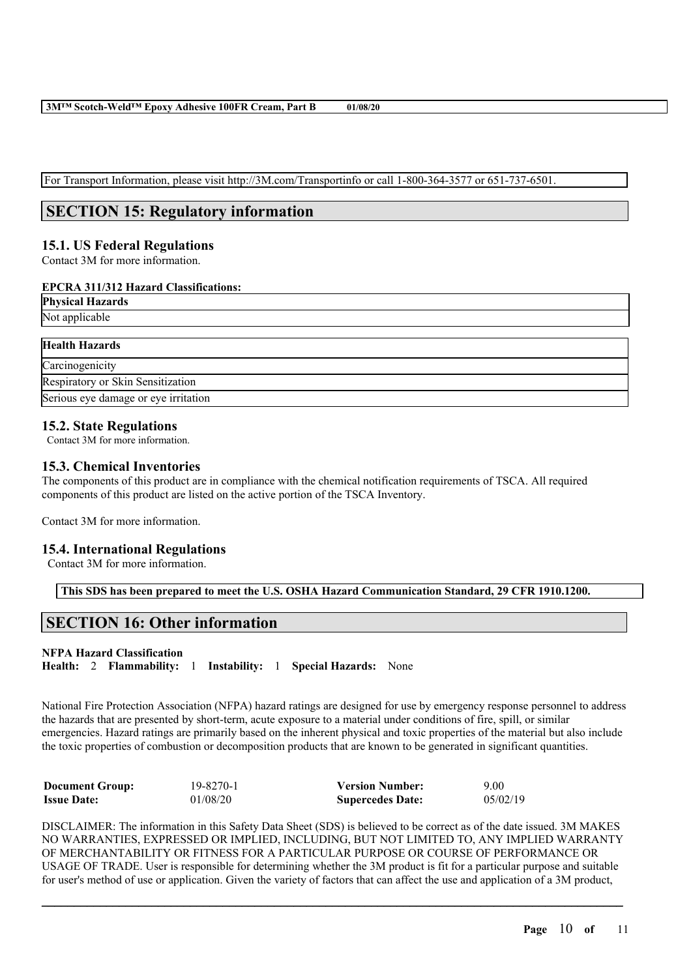For Transport Information, please visit http://3M.com/Transportinfo or call 1-800-364-3577 or 651-737-6501.

# **SECTION 15: Regulatory information**

# **15.1. US Federal Regulations**

Contact 3M for more information.

## **EPCRA 311/312 Hazard Classifications:**

**Physical Hazards** Not applicable

| <b>Health Hazards</b>                |  |
|--------------------------------------|--|
| Carcinogenicity                      |  |
| Respiratory or Skin Sensitization    |  |
| Serious eye damage or eye irritation |  |

## **15.2. State Regulations**

Contact 3M for more information.

## **15.3. Chemical Inventories**

The components of this product are in compliance with the chemical notification requirements of TSCA. All required components of this product are listed on the active portion of the TSCA Inventory.

Contact 3M for more information.

## **15.4. International Regulations**

Contact 3M for more information.

**This SDS has been prepared to meet the U.S. OSHA Hazard Communication Standard, 29 CFR 1910.1200.**

# **SECTION 16: Other information**

# **NFPA Hazard Classification**

**Health:** 2 **Flammability:** 1 **Instability:** 1 **Special Hazards:** None

National Fire Protection Association (NFPA) hazard ratings are designed for use by emergency response personnel to address the hazards that are presented by short-term, acute exposure to a material under conditions of fire, spill, or similar emergencies. Hazard ratings are primarily based on the inherent physical and toxic properties of the material but also include the toxic properties of combustion or decomposition products that are known to be generated in significant quantities.

| <b>Document Group:</b> | 19-8270-1 | <b>Version Number:</b>  | 9.00     |
|------------------------|-----------|-------------------------|----------|
| <b>Issue Date:</b>     | 01/08/20  | <b>Supercedes Date:</b> | 05/02/19 |

DISCLAIMER: The information in this Safety Data Sheet (SDS) is believed to be correct as of the date issued. 3M MAKES NO WARRANTIES, EXPRESSED OR IMPLIED, INCLUDING, BUT NOT LIMITED TO, ANY IMPLIED WARRANTY OF MERCHANTABILITY OR FITNESS FOR A PARTICULAR PURPOSE OR COURSE OF PERFORMANCE OR USAGE OF TRADE. User is responsible for determining whether the 3M product is fit for a particular purpose and suitable for user's method of use or application. Given the variety of factors that can affect the use and application of a 3M product,